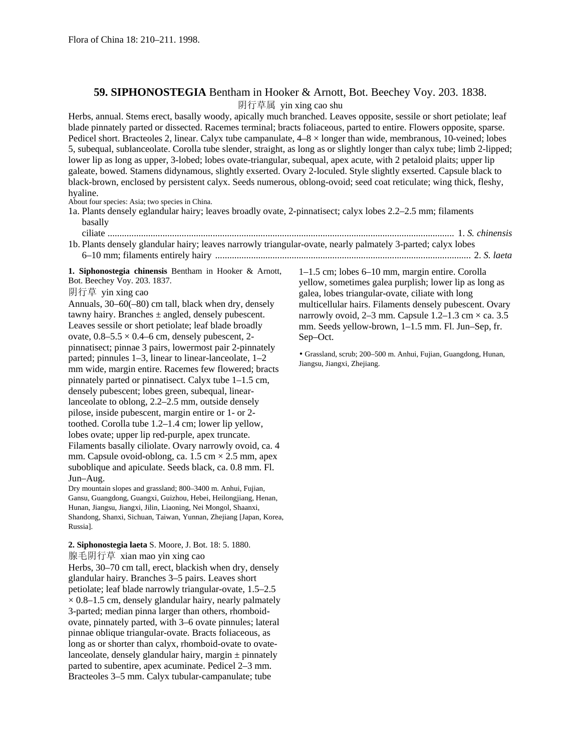## **59. SIPHONOSTEGIA** Bentham in Hooker & Arnott, Bot. Beechey Voy. 203. 1838.

阴行草属 yin xing cao shu

Herbs, annual. Stems erect, basally woody, apically much branched. Leaves opposite, sessile or short petiolate; leaf blade pinnately parted or dissected. Racemes terminal; bracts foliaceous, parted to entire. Flowers opposite, sparse. Pedicel short. Bracteoles 2, linear. Calyx tube campanulate,  $4-8 \times$  longer than wide, membranous, 10-veined; lobes 5, subequal, sublanceolate. Corolla tube slender, straight, as long as or slightly longer than calyx tube; limb 2-lipped; lower lip as long as upper, 3-lobed; lobes ovate-triangular, subequal, apex acute, with 2 petaloid plaits; upper lip galeate, bowed. Stamens didynamous, slightly exserted. Ovary 2-loculed. Style slightly exserted. Capsule black to black-brown, enclosed by persistent calyx. Seeds numerous, oblong-ovoid; seed coat reticulate; wing thick, fleshy, hyaline.

About four species: Asia; two species in China.

1a. Plants densely eglandular hairy; leaves broadly ovate, 2-pinnatisect; calyx lobes 2.2–2.5 mm; filaments basally

ciliate ................................................................................................................................................. 1. *S. chinensis* 1b. Plants densely glandular hairy; leaves narrowly triangular-ovate, nearly palmately 3-parted; calyx lobes 6–10 mm; filaments entirely hairy ........................................................................................................... 2. *S. laeta*

**1. Siphonostegia chinensis** Bentham in Hooker & Arnott, Bot. Beechey Voy. 203. 1837.

## 阴行草 yin xing cao

Annuals, 30–60(–80) cm tall, black when dry, densely tawny hairy. Branches  $\pm$  angled, densely pubescent. Leaves sessile or short petiolate; leaf blade broadly ovate,  $0.8-5.5 \times 0.4-6$  cm, densely pubescent, 2pinnatisect; pinnae 3 pairs, lowermost pair 2-pinnately parted; pinnules 1–3, linear to linear-lanceolate, 1–2 mm wide, margin entire. Racemes few flowered; bracts pinnately parted or pinnatisect. Calyx tube 1–1.5 cm, densely pubescent; lobes green, subequal, linearlanceolate to oblong, 2.2–2.5 mm, outside densely pilose, inside pubescent, margin entire or 1- or 2 toothed. Corolla tube 1.2–1.4 cm; lower lip yellow, lobes ovate; upper lip red-purple, apex truncate. Filaments basally ciliolate. Ovary narrowly ovoid, ca. 4 mm. Capsule ovoid-oblong, ca.  $1.5 \text{ cm} \times 2.5 \text{ mm}$ , apex suboblique and apiculate. Seeds black, ca. 0.8 mm. Fl. Jun–Aug.

Dry mountain slopes and grassland; 800–3400 m. Anhui, Fujian, Gansu, Guangdong, Guangxi, Guizhou, Hebei, Heilongjiang, Henan, Hunan, Jiangsu, Jiangxi, Jilin, Liaoning, Nei Mongol, Shaanxi, Shandong, Shanxi, Sichuan, Taiwan, Yunnan, Zhejiang [Japan, Korea, Russia].

## **2. Siphonostegia laeta** S. Moore, J. Bot. 18: 5. 1880. 腺毛阴行草 xian mao yin xing cao

Herbs, 30–70 cm tall, erect, blackish when dry, densely glandular hairy. Branches 3–5 pairs. Leaves short petiolate; leaf blade narrowly triangular-ovate, 1.5–2.5  $\times$  0.8–1.5 cm, densely glandular hairy, nearly palmately 3-parted; median pinna larger than others, rhomboidovate, pinnately parted, with 3–6 ovate pinnules; lateral pinnae oblique triangular-ovate. Bracts foliaceous, as long as or shorter than calyx, rhomboid-ovate to ovatelanceolate, densely glandular hairy, margin  $\pm$  pinnately parted to subentire, apex acuminate. Pedicel 2–3 mm. Bracteoles 3–5 mm. Calyx tubular-campanulate; tube

1–1.5 cm; lobes 6–10 mm, margin entire. Corolla yellow, sometimes galea purplish; lower lip as long as galea, lobes triangular-ovate, ciliate with long multicellular hairs. Filaments densely pubescent. Ovary narrowly ovoid, 2–3 mm. Capsule  $1.2$ – $1.3$  cm  $\times$  ca. 3.5 mm. Seeds yellow-brown, 1–1.5 mm. Fl. Jun–Sep, fr. Sep–Oct.

• Grassland, scrub; 200–500 m. Anhui, Fujian, Guangdong, Hunan, Jiangsu, Jiangxi, Zhejiang.